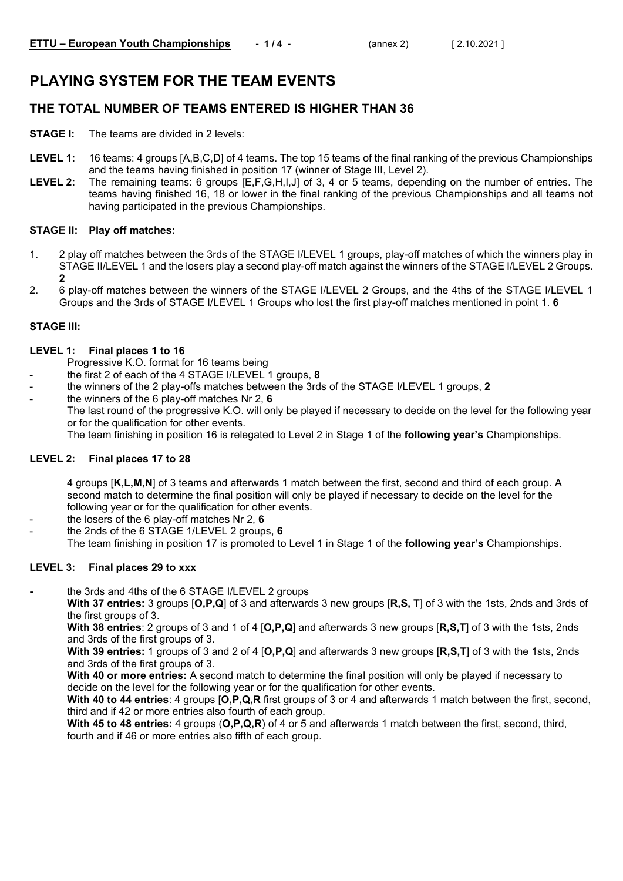# **PLAYING SYSTEM FOR THE TEAM EVENTS**

### **THE TOTAL NUMBER OF TEAMS ENTERED IS HIGHER THAN 36**

- **STAGE I:** The teams are divided in 2 levels:
- **LEVEL 1:** 16 teams: 4 groups [A,B,C,D] of 4 teams. The top 15 teams of the final ranking of the previous Championships and the teams having finished in position 17 (winner of Stage III, Level 2).
- **LEVEL 2:** The remaining teams: 6 groups [E,F,G,H,I,J] of 3, 4 or 5 teams, depending on the number of entries. The teams having finished 16, 18 or lower in the final ranking of the previous Championships and all teams not having participated in the previous Championships.

### **STAGE II: Play off matches:**

- 1. 2 play off matches between the 3rds of the STAGE I/LEVEL 1 groups, play-off matches of which the winners play in STAGE II/LEVEL 1 and the losers play a second play-off match against the winners of the STAGE I/LEVEL 2 Groups. **2**
- 2. 6 play-off matches between the winners of the STAGE I/LEVEL 2 Groups, and the 4ths of the STAGE I/LEVEL 1 Groups and the 3rds of STAGE I/LEVEL 1 Groups who lost the first play-off matches mentioned in point 1. **6**

### **STAGE III:**

### **LEVEL 1: Final places 1 to 16**

- Progressive K.O. format for 16 teams being
- the first 2 of each of the 4 STAGE I/LEVEL 1 groups, **8**
- the winners of the 2 play-offs matches between the 3rds of the STAGE I/LEVEL 1 groups, **2**
- the winners of the 6 play-off matches Nr 2, **6** The last round of the progressive K.O. will only be played if necessary to decide on the level for the following year or for the qualification for other events. The team finishing in position 16 is relegated to Level 2 in Stage 1 of the **following year's** Championships.

### **LEVEL 2: Final places 17 to 28**

4 groups [**K,L,M,N**] of 3 teams and afterwards 1 match between the first, second and third of each group. A second match to determine the final position will only be played if necessary to decide on the level for the following year or for the qualification for other events.

- the losers of the 6 play-off matches Nr 2, **6**
- the 2nds of the 6 STAGE 1/LEVEL 2 groups, **6** The team finishing in position 17 is promoted to Level 1 in Stage 1 of the **following year's** Championships.

### **LEVEL 3: Final places 29 to xxx**

**-** the 3rds and 4ths of the 6 STAGE I/LEVEL 2 groups

**With 37 entries:** 3 groups [**O,P,Q**] of 3 and afterwards 3 new groups [**R,S, T**] of 3 with the 1sts, 2nds and 3rds of the first groups of 3.

**With 38 entries**: 2 groups of 3 and 1 of 4 [**O,P,Q**] and afterwards 3 new groups [**R,S,T**] of 3 with the 1sts, 2nds and 3rds of the first groups of 3.

**With 39 entries:** 1 groups of 3 and 2 of 4 [**O,P,Q**] and afterwards 3 new groups [**R,S,T**] of 3 with the 1sts, 2nds and 3rds of the first groups of 3.

**With 40 or more entries:** A second match to determine the final position will only be played if necessary to decide on the level for the following year or for the qualification for other events.

**With 40 to 44 entries**: 4 groups [**O,P,Q,R** first groups of 3 or 4 and afterwards 1 match between the first, second, third and if 42 or more entries also fourth of each group.

**With 45 to 48 entries:** 4 groups (**O,P,Q,R**) of 4 or 5 and afterwards 1 match between the first, second, third, fourth and if 46 or more entries also fifth of each group.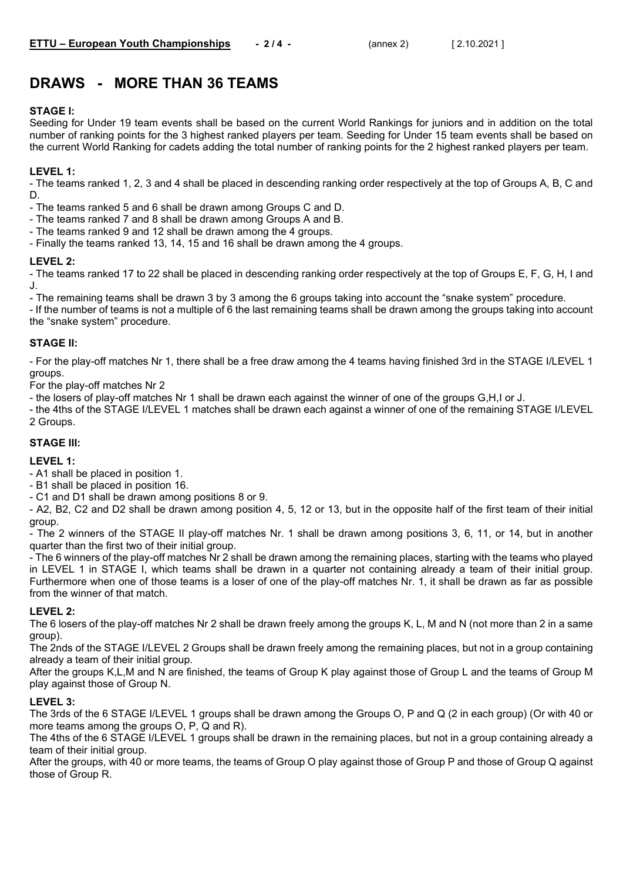## **DRAWS - MORE THAN 36 TEAMS**

### **STAGE I:**

Seeding for Under 19 team events shall be based on the current World Rankings for juniors and in addition on the total number of ranking points for the 3 highest ranked players per team. Seeding for Under 15 team events shall be based on the current World Ranking for cadets adding the total number of ranking points for the 2 highest ranked players per team.

### **LEVEL 1:**

- The teams ranked 1, 2, 3 and 4 shall be placed in descending ranking order respectively at the top of Groups A, B, C and D.

- The teams ranked 5 and 6 shall be drawn among Groups C and D.

- The teams ranked 7 and 8 shall be drawn among Groups A and B.
- The teams ranked 9 and 12 shall be drawn among the 4 groups.
- Finally the teams ranked 13, 14, 15 and 16 shall be drawn among the 4 groups.

### **LEVEL 2:**

- The teams ranked 17 to 22 shall be placed in descending ranking order respectively at the top of Groups E, F, G, H, I and J.

- The remaining teams shall be drawn 3 by 3 among the 6 groups taking into account the "snake system" procedure.

- If the number of teams is not a multiple of 6 the last remaining teams shall be drawn among the groups taking into account the "snake system" procedure.

### **STAGE II:**

- For the play-off matches Nr 1, there shall be a free draw among the 4 teams having finished 3rd in the STAGE I/LEVEL 1 groups.

For the play-off matches Nr 2

- the losers of play-off matches Nr 1 shall be drawn each against the winner of one of the groups G,H,I or J.

- the 4ths of the STAGE I/LEVEL 1 matches shall be drawn each against a winner of one of the remaining STAGE I/LEVEL 2 Groups.

### **STAGE III:**

### **LEVEL 1:**

- A1 shall be placed in position 1.

- B1 shall be placed in position 16.

- C1 and D1 shall be drawn among positions 8 or 9.

- A2, B2, C2 and D2 shall be drawn among position 4, 5, 12 or 13, but in the opposite half of the first team of their initial group.

- The 2 winners of the STAGE II play-off matches Nr. 1 shall be drawn among positions 3, 6, 11, or 14, but in another quarter than the first two of their initial group.

- The 6 winners of the play-off matches Nr 2 shall be drawn among the remaining places, starting with the teams who played in LEVEL 1 in STAGE I, which teams shall be drawn in a quarter not containing already a team of their initial group. Furthermore when one of those teams is a loser of one of the play-off matches Nr. 1, it shall be drawn as far as possible from the winner of that match.

### **LEVEL 2:**

The 6 losers of the play-off matches Nr 2 shall be drawn freely among the groups K, L, M and N (not more than 2 in a same group).

The 2nds of the STAGE I/LEVEL 2 Groups shall be drawn freely among the remaining places, but not in a group containing already a team of their initial group.

After the groups K,L,M and N are finished, the teams of Group K play against those of Group L and the teams of Group M play against those of Group N.

### **LEVEL 3:**

The 3rds of the 6 STAGE I/LEVEL 1 groups shall be drawn among the Groups O, P and Q (2 in each group) (Or with 40 or more teams among the groups O, P, Q and R).

The 4ths of the 6 STAGE I/LEVEL 1 groups shall be drawn in the remaining places, but not in a group containing already a team of their initial group.

After the groups, with 40 or more teams, the teams of Group O play against those of Group P and those of Group Q against those of Group R.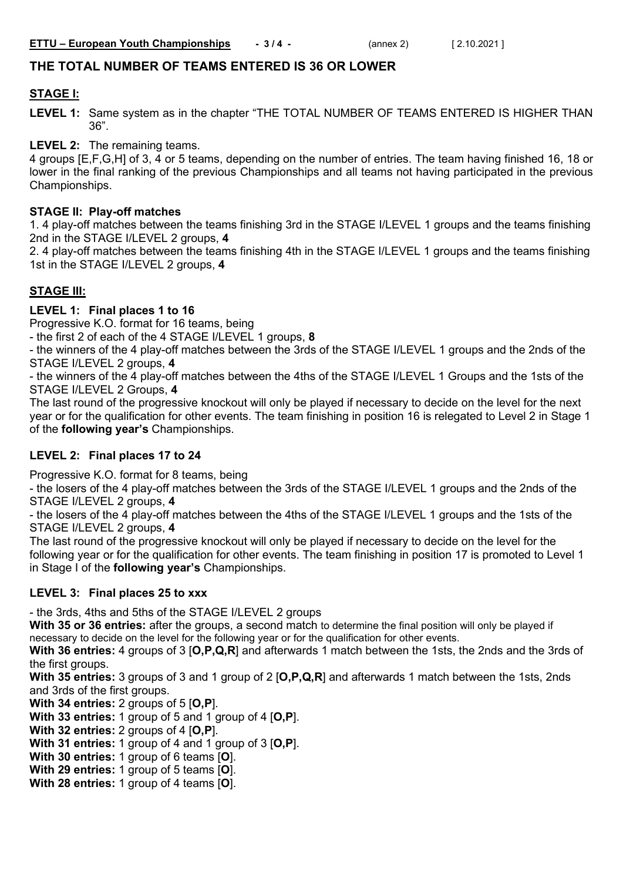### **THE TOTAL NUMBER OF TEAMS ENTERED IS 36 OR LOWER**

### **STAGE I:**

**LEVEL 1:** Same system as in the chapter "THE TOTAL NUMBER OF TEAMS ENTERED IS HIGHER THAN 36".

**LEVEL 2:** The remaining teams.

4 groups [E,F,G,H] of 3, 4 or 5 teams, depending on the number of entries. The team having finished 16, 18 or lower in the final ranking of the previous Championships and all teams not having participated in the previous Championships.

### **STAGE II: Play-off matches**

1. 4 play-off matches between the teams finishing 3rd in the STAGE I/LEVEL 1 groups and the teams finishing 2nd in the STAGE I/LEVEL 2 groups, **4**

2. 4 play-off matches between the teams finishing 4th in the STAGE I/LEVEL 1 groups and the teams finishing 1st in the STAGE I/LEVEL 2 groups, **4**

### **STAGE III:**

**LEVEL 1: Final places 1 to 16**

Progressive K.O. format for 16 teams, being

- the first 2 of each of the 4 STAGE I/LEVEL 1 groups, **8**

- the winners of the 4 play-off matches between the 3rds of the STAGE I/LEVEL 1 groups and the 2nds of the STAGE I/LEVEL 2 groups, **4**

- the winners of the 4 play-off matches between the 4ths of the STAGE I/LEVEL 1 Groups and the 1sts of the STAGE I/LEVEL 2 Groups, **4**

The last round of the progressive knockout will only be played if necessary to decide on the level for the next year or for the qualification for other events. The team finishing in position 16 is relegated to Level 2 in Stage 1 of the **following year's** Championships.

### **LEVEL 2: Final places 17 to 24**

Progressive K.O. format for 8 teams, being

- the losers of the 4 play-off matches between the 3rds of the STAGE I/LEVEL 1 groups and the 2nds of the STAGE I/LEVEL 2 groups, **4**

- the losers of the 4 play-off matches between the 4ths of the STAGE I/LEVEL 1 groups and the 1sts of the STAGE I/LEVEL 2 groups, **4**

The last round of the progressive knockout will only be played if necessary to decide on the level for the following year or for the qualification for other events. The team finishing in position 17 is promoted to Level 1 in Stage I of the **following year's** Championships.

### **LEVEL 3: Final places 25 to xxx**

- the 3rds, 4ths and 5ths of the STAGE I/LEVEL 2 groups

**With 35 or 36 entries:** after the groups, a second match to determine the final position will only be played if necessary to decide on the level for the following year or for the qualification for other events.

**With 36 entries:** 4 groups of 3 [**O,P,Q,R**] and afterwards 1 match between the 1sts, the 2nds and the 3rds of the first groups.

**With 35 entries:** 3 groups of 3 and 1 group of 2 [**O,P,Q,R**] and afterwards 1 match between the 1sts, 2nds and 3rds of the first groups.

**With 34 entries:** 2 groups of 5 [**O,P**].

**With 33 entries:** 1 group of 5 and 1 group of 4 [**O,P**].

**With 32 entries:** 2 groups of 4 [**O,P**].

**With 31 entries:** 1 group of 4 and 1 group of 3 [**O,P**].

**With 30 entries:** 1 group of 6 teams [**O**].

**With 29 entries:** 1 group of 5 teams [**O**].

**With 28 entries:** 1 group of 4 teams [**O**].